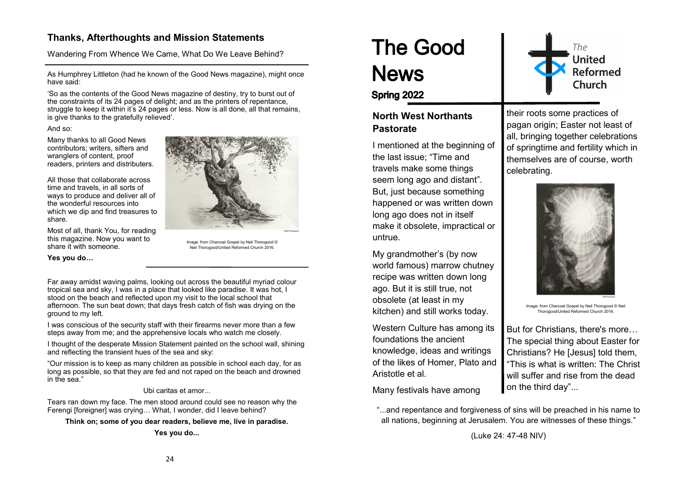# **Thanks, Afterthoughts and Mission Statements**

Wandering From Whence We Came, What Do We Leave Behind?

As Humphrey Littleton (had he known of the Good News magazine), might once have said:

'So as the contents of the Good News magazine of destiny, try to burst out of the constraints of its 24 pages of delight; and as the printers of repentance, struggle to keep it within it's 24 pages or less. Now is all done, all that remains, is give thanks to the gratefully relieved'.

#### And so:

Many thanks to all Good News contributors; writers, sifters and wranglers of content, proof readers, printers and distributers.

All those that collaborate across time and travels, in all sorts of ways to produce and deliver all of the wonderful resources into which we dip and find treasures to share.

Most of all, thank You, for reading this magazine. Now you want to share it with someone.

**Yes you do…**



Image: from Charcoal Gospel by Neil Thorogood © Neil Thorogood/United Reformed Church 2016.

Far away amidst waving palms, looking out across the beautiful myriad colour tropical sea and sky, I was in a place that looked like paradise. It was hot, I stood on the beach and reflected upon my visit to the local school that afternoon. The sun beat down; that days fresh catch of fish was drying on the ground to my left.

I was conscious of the security staff with their firearms never more than a few steps away from me; and the apprehensive locals who watch me closely.

I thought of the desperate Mission Statement painted on the school wall, shining and reflecting the transient hues of the sea and sky:

"Our mission is to keep as many children as possible in school each day, for as long as possible, so that they are fed and not raped on the beach and drowned in the sea."

Ubi caritas et amor...

Tears ran down my face. The men stood around could see no reason why the Ferengi [foreigner] was crying... What, I wonder, did I leave behind?

**Think on; some of you dear readers, believe me, live in paradise.**

**Yes you do...**

# **The Good News**



Spring 2022

# **North West Northants Pastorate**

I mentioned at the beginning of the last issue; "Time and travels make some things seem long ago and distant". But, just because something happened or was written down long ago does not in itself make it obsolete, impractical or untrue.

My grandmother's (by now world famous) marrow chutney recipe was written down long ago. But it is still true, not obsolete (at least in my kitchen) and still works today.

Western Culture has among its foundations the ancient knowledge, ideas and writings of the likes of Homer, Plato and Aristotle et al.

Many festivals have among

their roots some practices of pagan origin; Easter not least of all, bringing together celebrations of springtime and fertility which in themselves are of course, worth celebrating.



Image: from Charcoal Gospel by Neil Thorogood © Neil Thorogood/United Reformed Church 2016.

But for Christians, there's more… The special thing about Easter for Christians? He [Jesus] told them, "This is what is written: The Christ will suffer and rise from the dead on the third day"...

"...and repentance and forgiveness of sins will be preached in his name to all nations, beginning at Jerusalem. You are witnesses of these things."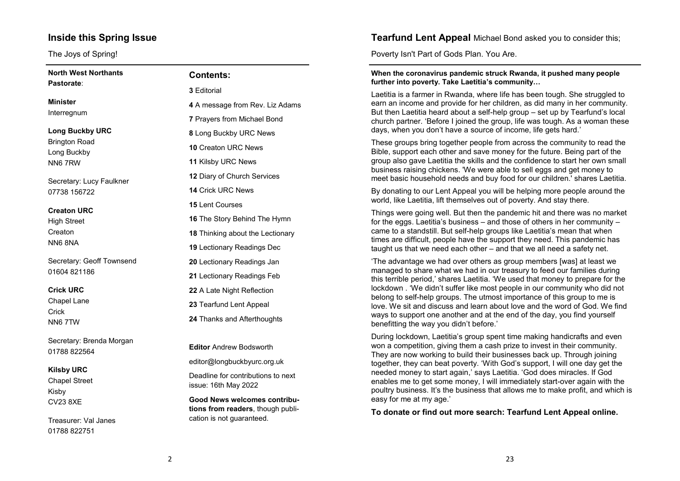# **Inside this Spring Issue**

The Joys of Spring!

| <b>North West Northants</b>         | <b>Contents:</b>                                                         |
|-------------------------------------|--------------------------------------------------------------------------|
| Pastorate:                          | 3 Editorial                                                              |
| Minister                            | 4 A message from Rev. Liz Adams                                          |
| Interregnum                         | <b>7 Prayers from Michael Bond</b>                                       |
| <b>Long Buckby URC</b>              | 8 Long Buckby URC News                                                   |
| <b>Brington Road</b><br>Long Buckby | <b>10 Creaton URC News</b>                                               |
| NN67RW                              | 11 Kilsby URC News                                                       |
| Secretary: Lucy Faulkner            | 12 Diary of Church Services                                              |
| 07738 156722                        | <b>14 Crick URC News</b>                                                 |
| <b>Creaton URC</b>                  | <b>15 Lent Courses</b>                                                   |
| <b>High Street</b>                  | <b>16</b> The Story Behind The Hymn                                      |
| Creaton                             | 18 Thinking about the Lectionary                                         |
| <b>NN6 8NA</b>                      | <b>19 Lectionary Readings Dec</b>                                        |
| Secretary: Geoff Townsend           | 20 Lectionary Readings Jan                                               |
| 01604 821186                        | 21 Lectionary Readings Feb                                               |
| <b>Crick URC</b>                    | 22 A Late Night Reflection                                               |
| Chapel Lane                         | 23 Tearfund Lent Appeal                                                  |
| Crick<br>NN67TW                     | 24 Thanks and Afterthoughts                                              |
| Secretary: Brenda Morgan            | <b>Editor Andrew Bodsworth</b>                                           |
| 01788 822564                        |                                                                          |
| <b>Kilsby URC</b>                   | editor@longbuckbyurc.org.uk                                              |
| <b>Chapel Street</b><br>Kisby       | Deadline for contributions to next<br>issue: 16th May 2022               |
| <b>CV23 8XE</b>                     | <b>Good News welcomes contribu-</b><br>tions from readers, though publi- |

Treasurer: Val Janes 01788 822751

|  | Tearfund Lent Appeal Michael Bond asked you to consider this; |
|--|---------------------------------------------------------------|
|--|---------------------------------------------------------------|

Poverty Isn't Part of Gods Plan. You Are.

#### **When the coronavirus pandemic struck Rwanda, it pushed many people further into poverty. Take Laetitia's community…**

Laetitia is a farmer in Rwanda, where life has been tough. She struggled to earn an income and provide for her children, as did many in her community. But then Laetitia heard about a self-help group – set up by Tearfund's local church partner. 'Before I joined the group, life was tough. As a woman these days, when you don't have a source of income, life gets hard.'

These groups bring together people from across the community to read the Bible, support each other and save money for the future. Being part of the group also gave Laetitia the skills and the confidence to start her own small business raising chickens. 'We were able to sell eggs and get money to meet basic household needs and buy food for our children.' shares Laetitia.

By donating to our Lent Appeal you will be helping more people around the world, like Laetitia, lift themselves out of poverty. And stay there.

Things were going well. But then the pandemic hit and there was no market for the eggs. Laetitia's business – and those of others in her community – came to a standstill. But self-help groups like Laetitia's mean that when times are difficult, people have the support they need. This pandemic has taught us that we need each other – and that we all need a safety net.

'The advantage we had over others as group members [was] at least we managed to share what we had in our treasury to feed our families during this terrible period,' shares Laetitia. 'We used that money to prepare for the lockdown . 'We didn't suffer like most people in our community who did not belong to self-help groups. The utmost importance of this group to me is love. We sit and discuss and learn about love and the word of God. We find ways to support one another and at the end of the day, you find yourself benefitting the way you didn't before.'

During lockdown, Laetitia's group spent time making handicrafts and even won a competition, giving them a cash prize to invest in their community. They are now working to build their businesses back up. Through joining together, they can beat poverty. 'With God's support, I will one day get the needed money to start again,' says Laetitia. 'God does miracles. If God enables me to get some money, I will immediately start-over again with the poultry business. It's the business that allows me to make profit, and which is easy for me at my age.'

**To donate or find out more search: Tearfund Lent Appeal online.**

cation is not guaranteed.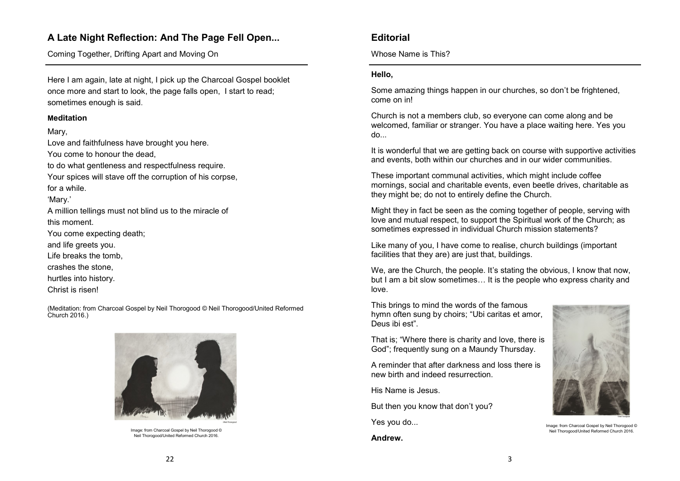# **A Late Night Reflection: And The Page Fell Open...**

Coming Together, Drifting Apart and Moving On

Here I am again, late at night, I pick up the Charcoal Gospel booklet once more and start to look, the page falls open, I start to read; sometimes enough is said.

#### **Meditation**

Mary,

Love and faithfulness have brought you here. You come to honour the dead, to do what gentleness and respectfulness require. Your spices will stave off the corruption of his corpse, for a while. 'Mary.' A million tellings must not blind us to the miracle of this moment. You come expecting death; and life greets you. Life breaks the tomb, crashes the stone, hurtles into history. Christ is risen!

(Meditation: from Charcoal Gospel by Neil Thorogood © Neil Thorogood/United Reformed Church 2016.)



Image: from Charcoal Gospel by Neil Thorogood © Neil Thorogood/United Reformed Church 2016.

# **Editorial**

Whose Name is This?

## **Hello,**

Some amazing things happen in our churches, so don't be frightened, come on in!

Church is not a members club, so everyone can come along and be welcomed, familiar or stranger. You have a place waiting here. Yes you do...

It is wonderful that we are getting back on course with supportive activities and events, both within our churches and in our wider communities.

These important communal activities, which might include coffee mornings, social and charitable events, even beetle drives, charitable as they might be; do not to entirely define the Church.

Might they in fact be seen as the coming together of people, serving with love and mutual respect, to support the Spiritual work of the Church; as sometimes expressed in individual Church mission statements?

Like many of you, I have come to realise, church buildings (important facilities that they are) are just that, buildings.

We, are the Church, the people. It's stating the obvious, I know that now, but I am a bit slow sometimes… It is the people who express charity and love.

This brings to mind the words of the famous hymn often sung by choirs; "Ubi caritas et amor, Deus ibi est".

That is; "Where there is charity and love, there is God"; frequently sung on a Maundy Thursday.

A reminder that after darkness and loss there is new birth and indeed resurrection.

His Name is Jesus.

But then you know that don't you?

Yes you do...

**Andrew.**



Image: from Charcoal Gospel by Neil Thorogood © Neil Thorogood/United Reformed Church 2016.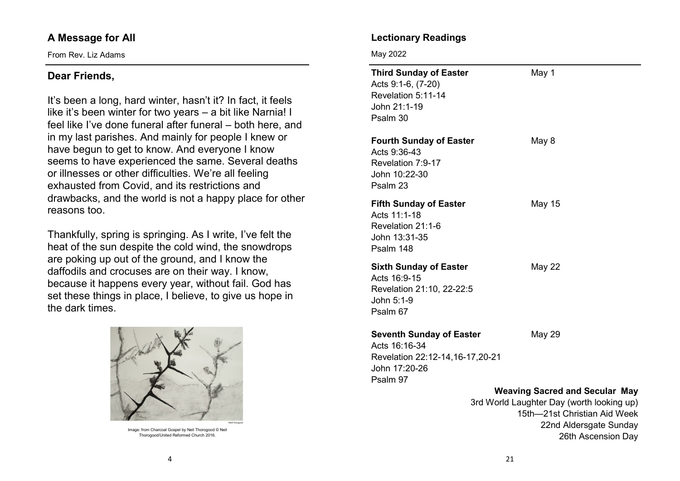# **A Message for All**

From Rev. Liz Adams

# **Dear Friends,**

It's been a long, hard winter, hasn't it? In fact, it feels like it's been winter for two years – a bit like Narnia! I feel like I've done funeral after funeral – both here, and in my last parishes. And mainly for people I knew or have begun to get to know. And everyone I know seems to have experienced the same. Several deaths or illnesses or other difficulties. We're all feeling exhausted from Covid, and its restrictions and drawbacks, and the world is not a happy place for other reasons too.

Thankfully, spring is springing. As I write, I've felt the heat of the sun despite the cold wind, the snowdrops are poking up out of the ground, and I know the daffodils and crocuses are on their way. I know, because it happens every year, without fail. God has set these things in place, I believe, to give us hope in the dark times.



Image: from Charcoal Gospel by Neil Thorogood © Neil Thorogood/United Reformed Church 2016.

# **Lectionary Readings**

May 2022

| <b>Third Sunday of Easter</b><br>Acts 9:1-6, (7-20)<br>Revelation 5:11-14<br>John 21:1-19<br>Psalm 30            | May 1         |  |
|------------------------------------------------------------------------------------------------------------------|---------------|--|
| <b>Fourth Sunday of Easter</b><br>Acts 9:36-43<br>Revelation 7:9-17<br>John 10:22-30<br>Psalm 23                 | May 8         |  |
| <b>Fifth Sunday of Easter</b><br>Acts 11:1-18<br>Revelation 21:1-6<br>John 13:31-35<br>Psalm 148                 | May 15        |  |
| <b>Sixth Sunday of Easter</b><br>Acts 16:9-15<br>Revelation 21:10, 22-22:5<br>John 5:1-9<br>Psalm 67             | <b>May 22</b> |  |
| <b>Seventh Sunday of Easter</b><br>Acts 16:16-34<br>Revelation 22:12-14,16-17,20-21<br>John 17:20-26<br>Psalm 97 | May 29        |  |

## **Weaving Sacred and Secular May**

3rd World Laughter Day (worth looking up) 15th—21st Christian Aid Week 22nd Aldersgate Sunday 26th Ascension Day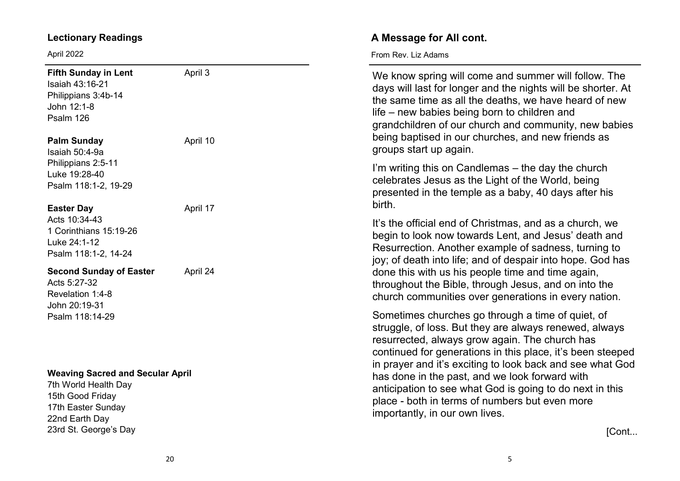# **Lectionary Readings**

23rd St. George 's Day

April 2022

| <b>Fifth Sunday in Lent</b><br>Isaiah 43:16-21<br>Philippians 3:4b-14<br>John 12:1-8<br>Psalm 126<br><b>Palm Sunday</b><br>Isaiah 50:4-9a<br>Philippians 2:5-11<br>Luke 19:28-40<br>Psalm 118:1-2, 19-29<br><b>Easter Day</b> | April 3<br>April 10 | We know spring will come and summer will follow. The<br>days will last for longer and the nights will be shorter. At<br>the same time as all the deaths, we have heard of new<br>life – new babies being born to children and<br>grandchildren of our church and community, new babies<br>being baptised in our churches, and new friends as<br>groups start up again. |
|-------------------------------------------------------------------------------------------------------------------------------------------------------------------------------------------------------------------------------|---------------------|------------------------------------------------------------------------------------------------------------------------------------------------------------------------------------------------------------------------------------------------------------------------------------------------------------------------------------------------------------------------|
|                                                                                                                                                                                                                               | April 17            | I'm writing this on Candlemas – the day the church<br>celebrates Jesus as the Light of the World, being<br>presented in the temple as a baby, 40 days after his<br>birth.                                                                                                                                                                                              |
| Acts 10:34-43<br>1 Corinthians 15:19-26<br>Luke 24:1-12<br>Psalm 118:1-2, 14-24                                                                                                                                               |                     | It's the official end of Christmas, and as a church, we<br>begin to look now towards Lent, and Jesus' death and<br>Resurrection. Another example of sadness, turning to<br>joy; of death into life; and of despair into hope. God has                                                                                                                                  |
| <b>Second Sunday of Easter</b><br>April 24<br>Acts 5:27-32<br>Revelation 1:4-8<br>John 20:19-31<br>Psalm 118:14-29                                                                                                            |                     | done this with us his people time and time again,<br>throughout the Bible, through Jesus, and on into the<br>church communities over generations in every nation.                                                                                                                                                                                                      |
|                                                                                                                                                                                                                               |                     | Sometimes churches go through a time of quiet, of<br>struggle, of loss. But they are always renewed, always<br>resurrected, always grow again. The church has<br>continued for generations in this place, it's been steeped<br>in prayer and it's exciting to look back and see what God                                                                               |
| <b>Weaving Sacred and Secular April</b><br>7th World Health Day<br>15th Good Friday<br>17th Easter Sunday<br>22nd Earth Day                                                                                                   |                     | has done in the past, and we look forward with<br>anticipation to see what God is going to do next in this<br>place - both in terms of numbers but even more<br>importantly, in our own lives.                                                                                                                                                                         |

[Cont...

**A Message for All cont.**

From Rev. Liz Adams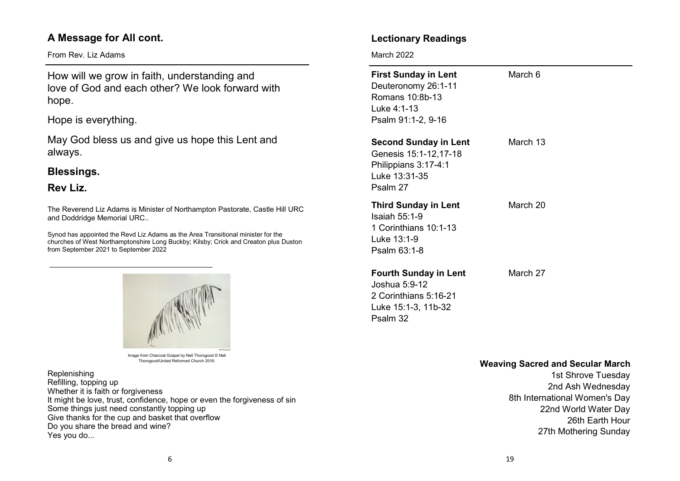# **A Message for All cont.**

From Rev. Liz Adams

How will we grow in faith, understanding and love of God and each other? We look forward with hope.

Hope is everything.

May God bless us and give us hope this Lent and always.

# **Blessings.**

# **Rev Liz.**

The Reverend Liz Adams is Minister of Northampton Pastorate, Castle Hill URC and Doddridge Memorial URC..

Synod has appointed the Revd Liz Adams as the Area Transitional minister for the churches of West Northamptonshire Long Buckby; Kilsby; Crick and Creaton plus Duston from September 2021 to September 2022



Image from Charcoal Gospel by Neil Thorogood © Neil Thorogood/United Reformed Church 2016.

Replenishing Refilling, topping up Whether it is faith or forgiveness It might be love, trust, confidence, hope or even the forgiveness of sin Some things just need constantly topping up Give thanks for the cup and basket that overflow Do you share the bread and wine? Yes you do...

# **Lectionary Readings**

March 2022

Psalm 32

| <b>First Sunday in Lent</b><br>Deuteronomy 26:1-11<br>Romans 10:8b-13<br>Luke 4:1-13<br>Psalm 91:1-2, 9-16 | March 6  |
|------------------------------------------------------------------------------------------------------------|----------|
| <b>Second Sunday in Lent</b><br>Genesis 15:1-12,17-18<br>Philippians 3:17-4:1<br>Luke 13:31-35<br>Psalm 27 | March 13 |
| <b>Third Sunday in Lent</b><br>Isaiah $55:1-9$<br>1 Corinthians 10:1-13<br>Luke 13:1-9<br>Psalm 63:1-8     | March 20 |
| <b>Fourth Sunday in Lent</b><br>Joshua 5:9-12<br>2 Corinthians 5:16-21<br>Luke 15:1-3, 11b-32              | March 27 |

## **Weaving Sacred and Secular March**

1st Shrove Tuesday 2nd Ash Wednesday 8th International Women's Day 22nd World Water Day 26th Earth Hour 27th Mothering Sunday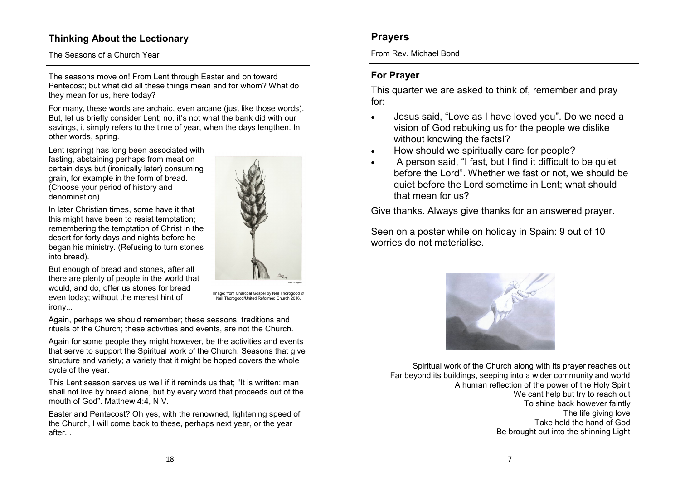# **Thinking About the Lectionary**

## The Seasons of a Church Year

The seasons move on! From Lent through Easter and on toward Pentecost; but what did all these things mean and for whom? What do they mean for us, here today?

For many, these words are archaic, even arcane (just like those words). But, let us briefly consider Lent; no, it's not what the bank did with our savings, it simply refers to the time of year, when the days lengthen. In other words, spring.

Lent (spring) has long been associated with fasting, abstaining perhaps from meat on certain days but (ironically later) consuming grain, for example in the form of bread. (Choose your period of history and denomination).

In later Christian times, some have it that this might have been to resist temptation; remembering the temptation of Christ in the desert for forty days and nights before he began his ministry. (Refusing to turn stones into bread).

But enough of bread and stones, after all there are plenty of people in the world that would, and do, offer us stones for bread even today; without the merest hint of irony...

Image: from Charcoal Gospel by Neil Thorogood © Neil Thorogood/United Reformed Church 2016.

Again, perhaps we should remember; these seasons, traditions and rituals of the Church; these activities and events, are not the Church.

Again for some people they might however, be the activities and events that serve to support the Spiritual work of the Church. Seasons that give structure and variety; a variety that it might be hoped covers the whole cycle of the year.

This Lent season serves us well if it reminds us that; "It is written: man shall not live by bread alone, but by every word that proceeds out of the mouth of God". Matthew 4:4, NIV.

Easter and Pentecost? Oh yes, with the renowned, lightening speed of the Church, I will come back to these, perhaps next year, or the year after...



From Rev. Michael Bond

# **For Prayer**

This quarter we are asked to think of, remember and pray for:

- Jesus said, "Love as I have loved you". Do we need a vision of God rebuking us for the people we dislike without knowing the facts!?
- How should we spiritually care for people?
- A person said, "I fast, but I find it difficult to be quiet before the Lord". Whether we fast or not, we should be quiet before the Lord sometime in Lent; what should that mean for us?

Give thanks. Always give thanks for an answered prayer.

Seen on a poster while on holiday in Spain: 9 out of 10 worries do not materialise.



Spiritual work of the Church along with its prayer reaches out Far beyond its buildings, seeping into a wider community and world A human reflection of the power of the Holy Spirit We cant help but try to reach out To shine back however faintly The life giving love Take hold the hand of God Be brought out into the shinning Light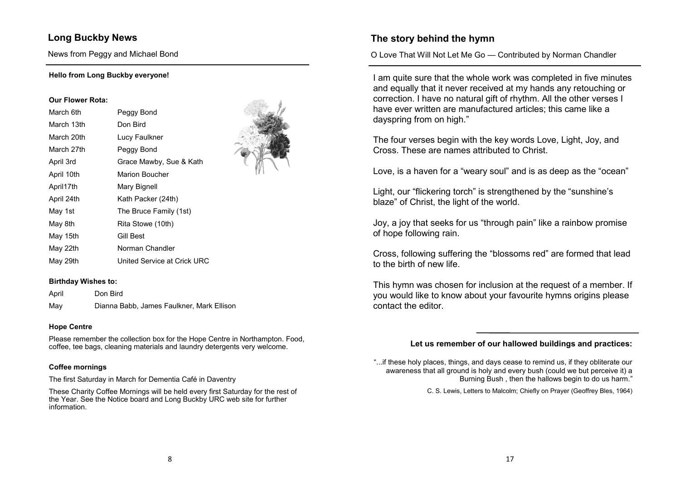# **Long Buckby News**

News from Peggy and Michael Bond

#### **Hello from Long Buckby everyone!**

#### **Our Flower Rota:**

| March 6th  | Peggy Bond                  |
|------------|-----------------------------|
| March 13th | Don Bird                    |
| March 20th | Lucy Faulkner               |
| March 27th | Peggy Bond                  |
| April 3rd  | Grace Mawby, Sue & Kath     |
| April 10th | Marion Boucher              |
| April17th  | Mary Bignell                |
| April 24th | Kath Packer (24th)          |
| May 1st    | The Bruce Family (1st)      |
| May 8th    | Rita Stowe (10th)           |
| May 15th   | Gill Best                   |
| May 22th   | Norman Chandler             |
| May 29th   | United Service at Crick URC |

#### **Birthday Wishes to:**

| April | Don Bird                                  |
|-------|-------------------------------------------|
| May   | Dianna Babb, James Faulkner, Mark Ellison |

#### **Hope Centre**

Please remember the collection box for the Hope Centre in Northampton. Food, coffee, tee bags, cleaning materials and laundry detergents very welcome.

#### **Coffee mornings**

The first Saturday in March for Dementia Café in Daventry

These Charity Coffee Mornings will be held every first Saturday for the rest of the Year. See the Notice board and Long Buckby URC web site for further information.

# **The story behind the hymn**

O Love That Will Not Let Me Go — Contributed by Norman Chandler

I am quite sure that the whole work was completed in five minutes and equally that it never received at my hands any retouching or correction. I have no natural gift of rhythm. All the other verses I have ever written are manufactured articles; this came like a dayspring from on high."

The four verses begin with the key words Love, Light, Joy, and Cross. These are names attributed to Christ.

Love, is a haven for a "weary soul" and is as deep as the "ocean"

Light, our "flickering torch" is strengthened by the "sunshine's blaze" of Christ, the light of the world.

Joy, a joy that seeks for us "through pain" like a rainbow promise of hope following rain.

Cross, following suffering the "blossoms red" are formed that lead to the birth of new life.

This hymn was chosen for inclusion at the request of a member. If you would like to know about your favourite hymns origins please contact the editor.

## **Let us remember of our hallowed buildings and practices:**

"...if these holy places, things, and days cease to remind us, if they obliterate our awareness that all ground is holy and every bush (could we but perceive it) a Burning Bush , then the hallows begin to do us harm."

C. S. Lewis, Letters to Malcolm; Chiefly on Prayer (Geoffrey Bles, 1964)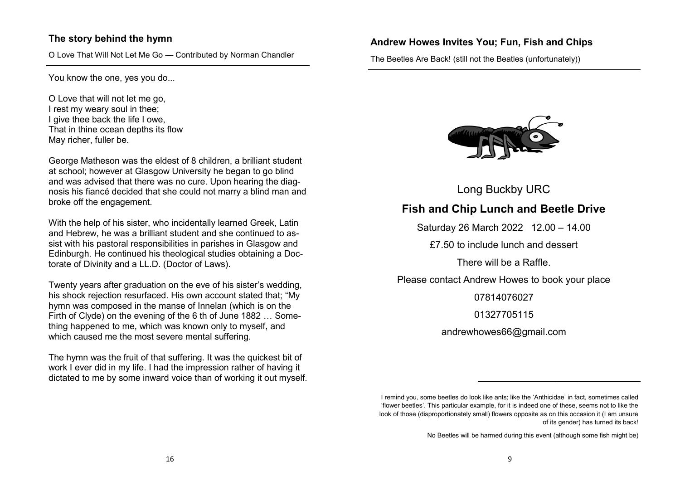# **The story behind the hymn**

O Love That Will Not Let Me Go — Contributed by Norman Chandler

You know the one, yes you do...

O Love that will not let me go, I rest my weary soul in thee; I give thee back the life I owe, That in thine ocean depths its flow May richer, fuller be.

George Matheson was the eldest of 8 children, a brilliant student at school; however at Glasgow University he began to go blind and was advised that there was no cure. Upon hearing the diagnosis his fiancé decided that she could not marry a blind man and broke off the engagement.

With the help of his sister, who incidentally learned Greek, Latin and Hebrew, he was a brilliant student and she continued to assist with his pastoral responsibilities in parishes in Glasgow and Edinburgh. He continued his theological studies obtaining a Doctorate of Divinity and a LL.D. (Doctor of Laws).

Twenty years after graduation on the eve of his sister's wedding, his shock rejection resurfaced. His own account stated that; "My hymn was composed in the manse of Innelan (which is on the Firth of Clyde) on the evening of the 6 th of June 1882 … Something happened to me, which was known only to myself, and which caused me the most severe mental suffering.

The hymn was the fruit of that suffering. It was the quickest bit of work I ever did in my life. I had the impression rather of having it dictated to me by some inward voice than of working it out myself.

## **Andrew Howes Invites You; Fun, Fish and Chips**

The Beetles Are Back! (still not the Beatles (unfortunately))



Long Buckby URC

**Fish and Chip Lunch and Beetle Drive**

Saturday 26 March 2022 12.00 – 14.00

£7.50 to include lunch and dessert

There will be a Raffle.

Please contact Andrew Howes to book your place

07814076027

01327705115

andrewhowes66@gmail.com

I remind you, some beetles do look like ants; like the 'Anthicidae' in fact, sometimes called 'flower beetles'. This particular example, for it is indeed one of these, seems not to like the look of those (disproportionately small) flowers opposite as on this occasion it (I am unsure of its gender) has turned its back!

No Beetles will be harmed during this event (although some fish might be)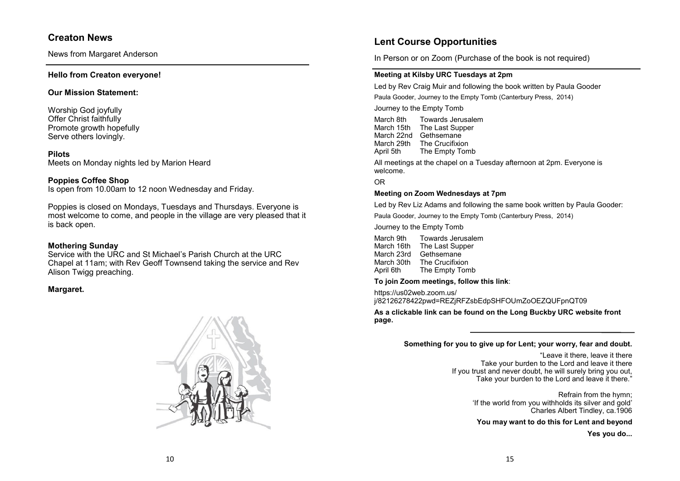## **Creaton News**

News from Margaret Anderson

#### **Hello from Creaton everyone!**

#### **Our Mission Statement:**

Worship God joyfully Offer Christ faithfully Promote growth hopefully Serve others lovingly.

#### **Pilots**

Meets on Monday nights led by Marion Heard

#### **Poppies Coffee Shop**

Is open from 10.00am to 12 noon Wednesday and Friday.

Poppies is closed on Mondays, Tuesdays and Thursdays. Everyone is most welcome to come, and people in the village are very pleased that it is back open.

#### **Mothering Sunday**

Service with the URC and St Michael's Parish Church at the URC Chapel at 11am; with Rev Geoff Townsend taking the service and Rev Alison Twigg preaching.

#### **Margaret.**



# **Lent Course Opportunities**

In Person or on Zoom (Purchase of the book is not required)

#### **Meeting at Kilsby URC Tuesdays at 2pm**

Led by Rev Craig Muir and following the book written by Paula Gooder

Paula Gooder, Journey to the Empty Tomb (Canterbury Press, 2014)

Journey to the Empty Tomb

March 8th Towards Jerusalem March 15th The Last Supper March 22nd Gethsemane March 29th The Crucifixion April 5th The Empty Tomb

All meetings at the chapel on a Tuesday afternoon at 2pm. Everyone is welcome.

OR

#### **Meeting on Zoom Wednesdays at 7pm**

Led by Rev Liz Adams and following the same book written by Paula Gooder:

Paula Gooder, Journey to the Empty Tomb (Canterbury Press, 2014)

Journey to the Empty Tomb

| Towards Jerusalem |
|-------------------|
| The Last Supper   |
| Gethsemane        |
| The Crucifixion   |
| The Empty Tomb    |
|                   |

**To join Zoom meetings, follow this link**:

https://us02web.zoom.us/ j/82126278422pwd=REZjRFZsbEdpSHFOUmZoOEZQUFpnQT09

**As a clickable link can be found on the Long Buckby URC website front page.**

#### **Something for you to give up for Lent; your worry, fear and doubt.**

"Leave it there, leave it there Take your burden to the Lord and leave it there If you trust and never doubt, he will surely bring you out, Take your burden to the Lord and leave it there."

> Refrain from the hymn; 'If the world from you withholds its silver and gold'  $\sim$  Charles Albert Tindlev, ca.1906

**You may want to do this for Lent and beyond**

**Yes you do...**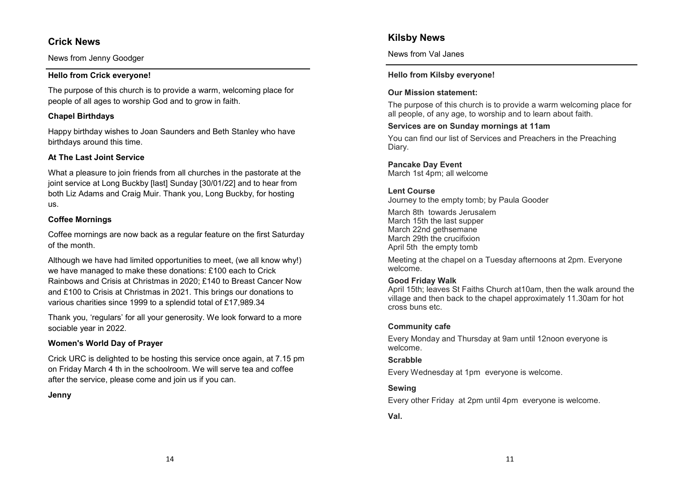# **Crick News**

News from Jenny Goodger

## **Hello from Crick everyone!**

The purpose of this church is to provide a warm, welcoming place for people of all ages to worship God and to grow in faith.

## **Chapel Birthdays**

Happy birthday wishes to Joan Saunders and Beth Stanley who have birthdays around this time.

## **At The Last Joint Service**

What a pleasure to join friends from all churches in the pastorate at the joint service at Long Buckby [last] Sunday [30/01/22] and to hear from both Liz Adams and Craig Muir. Thank you, Long Buckby, for hosting us.

## **Coffee Mornings**

Coffee mornings are now back as a regular feature on the first Saturday of the month.

Although we have had limited opportunities to meet, (we all know why!) we have managed to make these donations: £100 each to Crick Rainbows and Crisis at Christmas in 2020; £140 to Breast Cancer Now and £100 to Crisis at Christmas in 2021. This brings our donations to various charities since 1999 to a splendid total of £17,989.34

Thank you, 'regulars' for all your generosity. We look forward to a more sociable year in 2022.

## **Women's World Day of Prayer**

Crick URC is delighted to be hosting this service once again, at 7.15 pm on Friday March 4 th in the schoolroom. We will serve tea and coffee after the service, please come and join us if you can.

## **Jenny**

# **Kilsby News**

News from Val Janes

## **Hello from Kilsby everyone!**

## **Our Mission statement:**

The purpose of this church is to provide a warm welcoming place for all people, of any age, to worship and to learn about faith.

## **Services are on Sunday mornings at 11am**

You can find our list of Services and Preachers in the Preaching Diary.

**Pancake Day Event**

March 1st 4pm; all welcome

## **Lent Course**

Journey to the empty tomb; by Paula Gooder

March 8th towards Jerusalem March 15th the last supper March 22nd gethsemane March 29th the crucifixion April 5th the empty tomb

Meeting at the chapel on a Tuesday afternoons at 2pm. Everyone welcome.

## **Good Friday Walk**

April 15th; leaves St Faiths Church at10am, then the walk around the village and then back to the chapel approximately 11.30am for hot cross buns etc.

## **Community cafe**

Every Monday and Thursday at 9am until 12noon everyone is welcome.

## **Scrabble**

Every Wednesday at 1pm everyone is welcome.

## **Sewing**

Every other Friday at 2pm until 4pm everyone is welcome.

## **Val.**